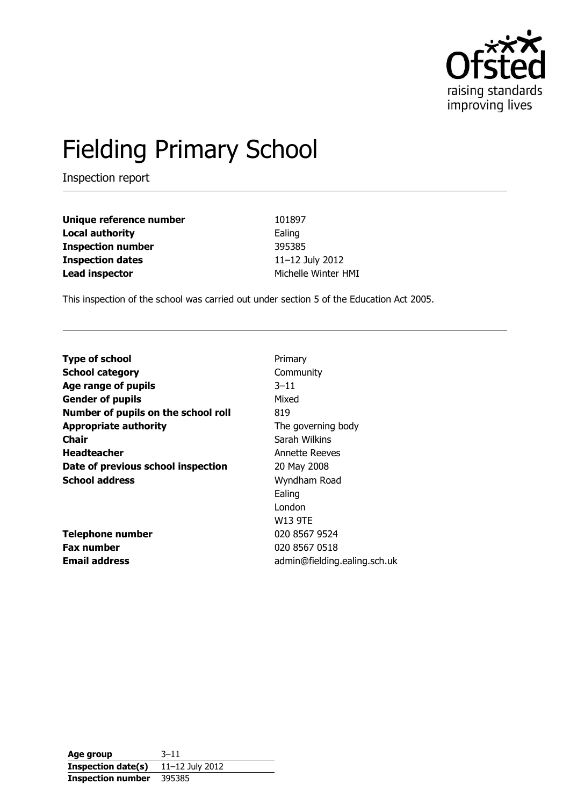

# Fielding Primary School

Inspection report

| Unique reference number  | 101897              |
|--------------------------|---------------------|
| <b>Local authority</b>   | Ealing              |
| <b>Inspection number</b> | 395385              |
| <b>Inspection dates</b>  | 11-12 July 2012     |
| <b>Lead inspector</b>    | Michelle Winter HMI |

This inspection of the school was carried out under section 5 of the Education Act 2005.

| <b>Type of school</b>               | Primary                      |
|-------------------------------------|------------------------------|
| <b>School category</b>              | Community                    |
| Age range of pupils                 | $3 - 11$                     |
| <b>Gender of pupils</b>             | Mixed                        |
| Number of pupils on the school roll | 819                          |
| <b>Appropriate authority</b>        | The governing body           |
| <b>Chair</b>                        | Sarah Wilkins                |
| <b>Headteacher</b>                  | <b>Annette Reeves</b>        |
| Date of previous school inspection  | 20 May 2008                  |
| <b>School address</b>               | Wyndham Road                 |
|                                     | Ealing                       |
|                                     | London                       |
|                                     | W13 9TE                      |
| <b>Telephone number</b>             | 020 8567 9524                |
| <b>Fax number</b>                   | 020 8567 0518                |
| <b>Email address</b>                | admin@fielding.ealing.sch.uk |
|                                     |                              |

**Age group** 3–11 **Inspection date(s)** 11–12 July 2012 **Inspection number** 395385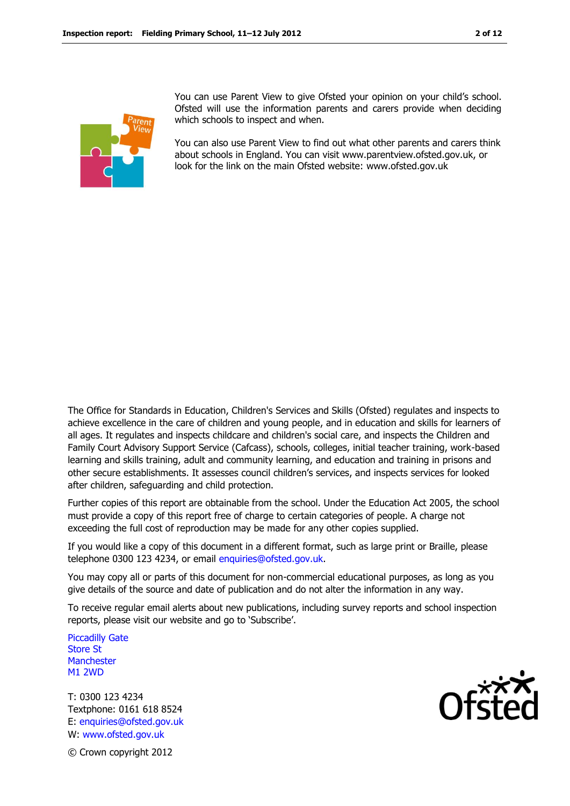

You can use Parent View to give Ofsted your opinion on your child's school. Ofsted will use the information parents and carers provide when deciding which schools to inspect and when.

You can also use Parent View to find out what other parents and carers think about schools in England. You can visit www.parentview.ofsted.gov.uk, or look for the link on the main Ofsted website: www.ofsted.gov.uk

The Office for Standards in Education, Children's Services and Skills (Ofsted) regulates and inspects to achieve excellence in the care of children and young people, and in education and skills for learners of all ages. It regulates and inspects childcare and children's social care, and inspects the Children and Family Court Advisory Support Service (Cafcass), schools, colleges, initial teacher training, work-based learning and skills training, adult and community learning, and education and training in prisons and other secure establishments. It assesses council children's services, and inspects services for looked after children, safeguarding and child protection.

Further copies of this report are obtainable from the school. Under the Education Act 2005, the school must provide a copy of this report free of charge to certain categories of people. A charge not exceeding the full cost of reproduction may be made for any other copies supplied.

If you would like a copy of this document in a different format, such as large print or Braille, please telephone 0300 123 4234, or email enquiries@ofsted.gov.uk.

You may copy all or parts of this document for non-commercial educational purposes, as long as you give details of the source and date of publication and do not alter the information in any way.

To receive regular email alerts about new publications, including survey reports and school inspection reports, please visit our website and go to 'Subscribe'.

Piccadilly Gate Store St **Manchester** M1 2WD

T: 0300 123 4234 Textphone: 0161 618 8524 E: enquiries@ofsted.gov.uk W: www.ofsted.gov.uk



© Crown copyright 2012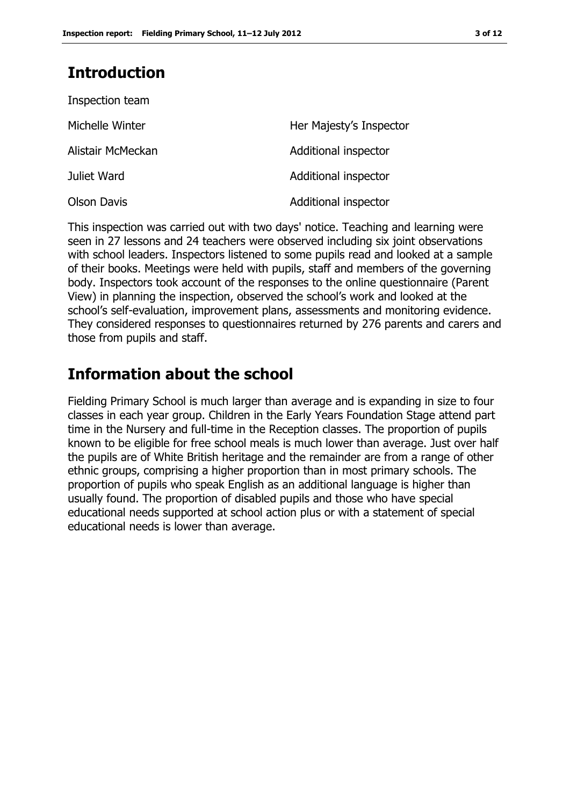### **Introduction**

| Inspection team    |                         |
|--------------------|-------------------------|
| Michelle Winter    | Her Majesty's Inspector |
| Alistair McMeckan  | Additional inspector    |
| Juliet Ward        | Additional inspector    |
| <b>Olson Davis</b> | Additional inspector    |

This inspection was carried out with two days' notice. Teaching and learning were seen in 27 lessons and 24 teachers were observed including six joint observations with school leaders. Inspectors listened to some pupils read and looked at a sample of their books. Meetings were held with pupils, staff and members of the governing body. Inspectors took account of the responses to the online questionnaire (Parent View) in planning the inspection, observed the school's work and looked at the school's self-evaluation, improvement plans, assessments and monitoring evidence. They considered responses to questionnaires returned by 276 parents and carers and those from pupils and staff.

### **Information about the school**

Fielding Primary School is much larger than average and is expanding in size to four classes in each year group. Children in the Early Years Foundation Stage attend part time in the Nursery and full-time in the Reception classes. The proportion of pupils known to be eligible for free school meals is much lower than average. Just over half the pupils are of White British heritage and the remainder are from a range of other ethnic groups, comprising a higher proportion than in most primary schools. The proportion of pupils who speak English as an additional language is higher than usually found. The proportion of disabled pupils and those who have special educational needs supported at school action plus or with a statement of special educational needs is lower than average.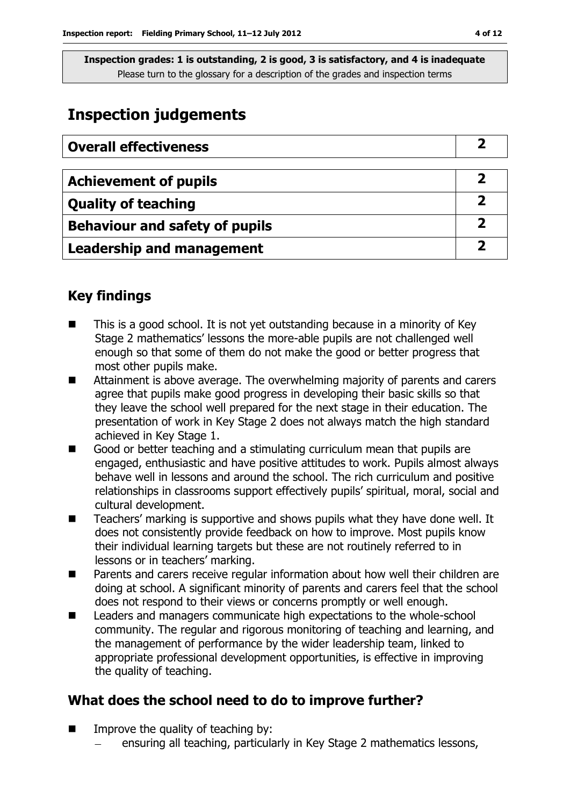### **Inspection judgements**

| <b>Overall effectiveness</b>          |  |
|---------------------------------------|--|
|                                       |  |
| <b>Achievement of pupils</b>          |  |
| <b>Quality of teaching</b>            |  |
| <b>Behaviour and safety of pupils</b> |  |
| <b>Leadership and management</b>      |  |

### **Key findings**

- This is a good school. It is not yet outstanding because in a minority of Key Stage 2 mathematics' lessons the more-able pupils are not challenged well enough so that some of them do not make the good or better progress that most other pupils make.
- Attainment is above average. The overwhelming majority of parents and carers agree that pupils make good progress in developing their basic skills so that they leave the school well prepared for the next stage in their education. The presentation of work in Key Stage 2 does not always match the high standard achieved in Key Stage 1.
- Good or better teaching and a stimulating curriculum mean that pupils are engaged, enthusiastic and have positive attitudes to work. Pupils almost always behave well in lessons and around the school. The rich curriculum and positive relationships in classrooms support effectively pupils' spiritual, moral, social and cultural development.
- Teachers' marking is supportive and shows pupils what they have done well. It does not consistently provide feedback on how to improve. Most pupils know their individual learning targets but these are not routinely referred to in lessons or in teachers' marking.
- Parents and carers receive regular information about how well their children are doing at school. A significant minority of parents and carers feel that the school does not respond to their views or concerns promptly or well enough.
- Leaders and managers communicate high expectations to the whole-school community. The regular and rigorous monitoring of teaching and learning, and the management of performance by the wider leadership team, linked to appropriate professional development opportunities, is effective in improving the quality of teaching.

### **What does the school need to do to improve further?**

- $\blacksquare$  Improve the quality of teaching by:
	- ensuring all teaching, particularly in Key Stage 2 mathematics lessons,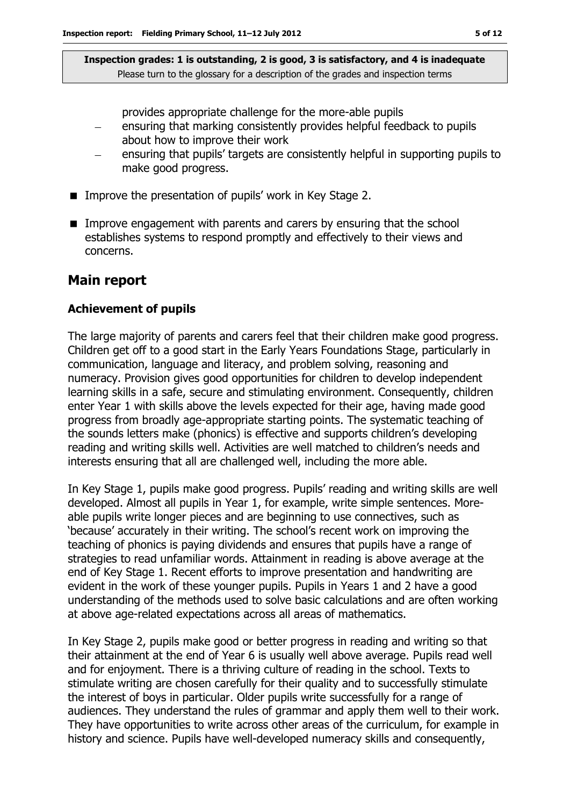provides appropriate challenge for the more-able pupils

- ensuring that marking consistently provides helpful feedback to pupils about how to improve their work
- ensuring that pupils' targets are consistently helpful in supporting pupils to make good progress.
- **IMPROVE the presentation of pupils' work in Key Stage 2.**
- **IMPROVE ENGIGEMENT IMM** Darents and carers by ensuring that the school establishes systems to respond promptly and effectively to their views and concerns.

#### **Main report**

#### **Achievement of pupils**

The large majority of parents and carers feel that their children make good progress. Children get off to a good start in the Early Years Foundations Stage, particularly in communication, language and literacy, and problem solving, reasoning and numeracy. Provision gives good opportunities for children to develop independent learning skills in a safe, secure and stimulating environment. Consequently, children enter Year 1 with skills above the levels expected for their age, having made good progress from broadly age-appropriate starting points. The systematic teaching of the sounds letters make (phonics) is effective and supports children's developing reading and writing skills well. Activities are well matched to children's needs and interests ensuring that all are challenged well, including the more able.

In Key Stage 1, pupils make good progress. Pupils' reading and writing skills are well developed. Almost all pupils in Year 1, for example, write simple sentences. Moreable pupils write longer pieces and are beginning to use connectives, such as 'because' accurately in their writing. The school's recent work on improving the teaching of phonics is paying dividends and ensures that pupils have a range of strategies to read unfamiliar words. Attainment in reading is above average at the end of Key Stage 1. Recent efforts to improve presentation and handwriting are evident in the work of these younger pupils. Pupils in Years 1 and 2 have a good understanding of the methods used to solve basic calculations and are often working at above age-related expectations across all areas of mathematics.

In Key Stage 2, pupils make good or better progress in reading and writing so that their attainment at the end of Year 6 is usually well above average. Pupils read well and for enjoyment. There is a thriving culture of reading in the school. Texts to stimulate writing are chosen carefully for their quality and to successfully stimulate the interest of boys in particular. Older pupils write successfully for a range of audiences. They understand the rules of grammar and apply them well to their work. They have opportunities to write across other areas of the curriculum, for example in history and science. Pupils have well-developed numeracy skills and consequently,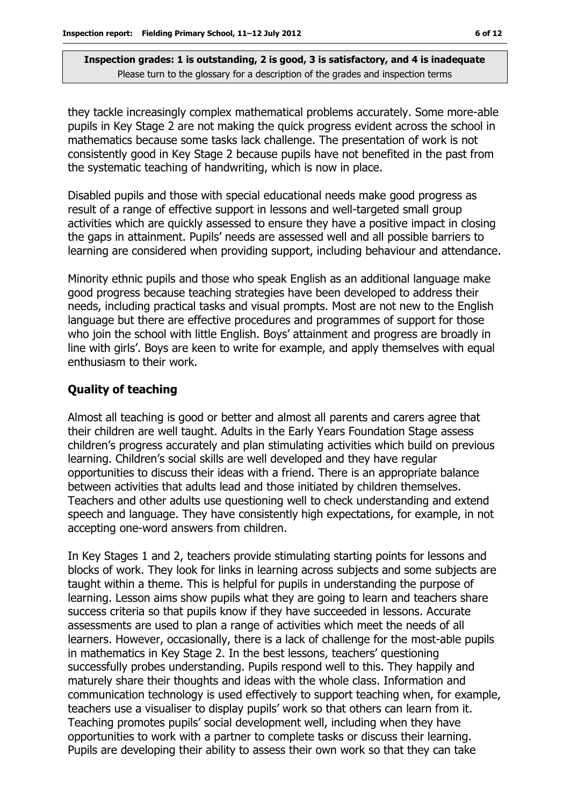they tackle increasingly complex mathematical problems accurately. Some more-able pupils in Key Stage 2 are not making the quick progress evident across the school in mathematics because some tasks lack challenge. The presentation of work is not consistently good in Key Stage 2 because pupils have not benefited in the past from the systematic teaching of handwriting, which is now in place.

Disabled pupils and those with special educational needs make good progress as result of a range of effective support in lessons and well-targeted small group activities which are quickly assessed to ensure they have a positive impact in closing the gaps in attainment. Pupils' needs are assessed well and all possible barriers to learning are considered when providing support, including behaviour and attendance.

Minority ethnic pupils and those who speak English as an additional language make good progress because teaching strategies have been developed to address their needs, including practical tasks and visual prompts. Most are not new to the English language but there are effective procedures and programmes of support for those who join the school with little English. Boys' attainment and progress are broadly in line with girls'. Boys are keen to write for example, and apply themselves with equal enthusiasm to their work.

### **Quality of teaching**

Almost all teaching is good or better and almost all parents and carers agree that their children are well taught. Adults in the Early Years Foundation Stage assess children's progress accurately and plan stimulating activities which build on previous learning. Children's social skills are well developed and they have regular opportunities to discuss their ideas with a friend. There is an appropriate balance between activities that adults lead and those initiated by children themselves. Teachers and other adults use questioning well to check understanding and extend speech and language. They have consistently high expectations, for example, in not accepting one-word answers from children.

In Key Stages 1 and 2, teachers provide stimulating starting points for lessons and blocks of work. They look for links in learning across subjects and some subjects are taught within a theme. This is helpful for pupils in understanding the purpose of learning. Lesson aims show pupils what they are going to learn and teachers share success criteria so that pupils know if they have succeeded in lessons. Accurate assessments are used to plan a range of activities which meet the needs of all learners. However, occasionally, there is a lack of challenge for the most-able pupils in mathematics in Key Stage 2. In the best lessons, teachers' questioning successfully probes understanding. Pupils respond well to this. They happily and maturely share their thoughts and ideas with the whole class. Information and communication technology is used effectively to support teaching when, for example, teachers use a visualiser to display pupils' work so that others can learn from it. Teaching promotes pupils' social development well, including when they have opportunities to work with a partner to complete tasks or discuss their learning. Pupils are developing their ability to assess their own work so that they can take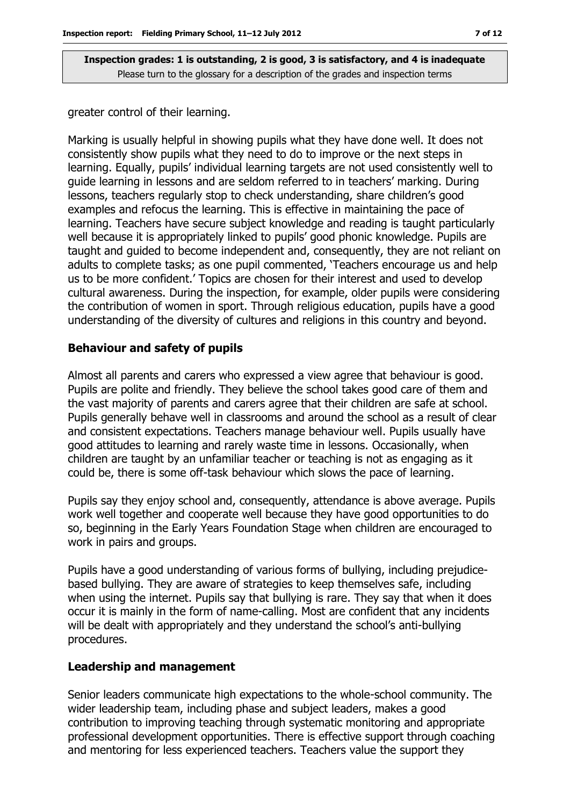greater control of their learning.

Marking is usually helpful in showing pupils what they have done well. It does not consistently show pupils what they need to do to improve or the next steps in learning. Equally, pupils' individual learning targets are not used consistently well to guide learning in lessons and are seldom referred to in teachers' marking. During lessons, teachers regularly stop to check understanding, share children's good examples and refocus the learning. This is effective in maintaining the pace of learning. Teachers have secure subject knowledge and reading is taught particularly well because it is appropriately linked to pupils' good phonic knowledge. Pupils are taught and guided to become independent and, consequently, they are not reliant on adults to complete tasks; as one pupil commented, 'Teachers encourage us and help us to be more confident.' Topics are chosen for their interest and used to develop cultural awareness. During the inspection, for example, older pupils were considering the contribution of women in sport. Through religious education, pupils have a good understanding of the diversity of cultures and religions in this country and beyond.

#### **Behaviour and safety of pupils**

Almost all parents and carers who expressed a view agree that behaviour is good. Pupils are polite and friendly. They believe the school takes good care of them and the vast majority of parents and carers agree that their children are safe at school. Pupils generally behave well in classrooms and around the school as a result of clear and consistent expectations. Teachers manage behaviour well. Pupils usually have good attitudes to learning and rarely waste time in lessons. Occasionally, when children are taught by an unfamiliar teacher or teaching is not as engaging as it could be, there is some off-task behaviour which slows the pace of learning.

Pupils say they enjoy school and, consequently, attendance is above average. Pupils work well together and cooperate well because they have good opportunities to do so, beginning in the Early Years Foundation Stage when children are encouraged to work in pairs and groups.

Pupils have a good understanding of various forms of bullying, including prejudicebased bullying. They are aware of strategies to keep themselves safe, including when using the internet. Pupils say that bullying is rare. They say that when it does occur it is mainly in the form of name-calling. Most are confident that any incidents will be dealt with appropriately and they understand the school's anti-bullying procedures.

#### **Leadership and management**

Senior leaders communicate high expectations to the whole-school community. The wider leadership team, including phase and subject leaders, makes a good contribution to improving teaching through systematic monitoring and appropriate professional development opportunities. There is effective support through coaching and mentoring for less experienced teachers. Teachers value the support they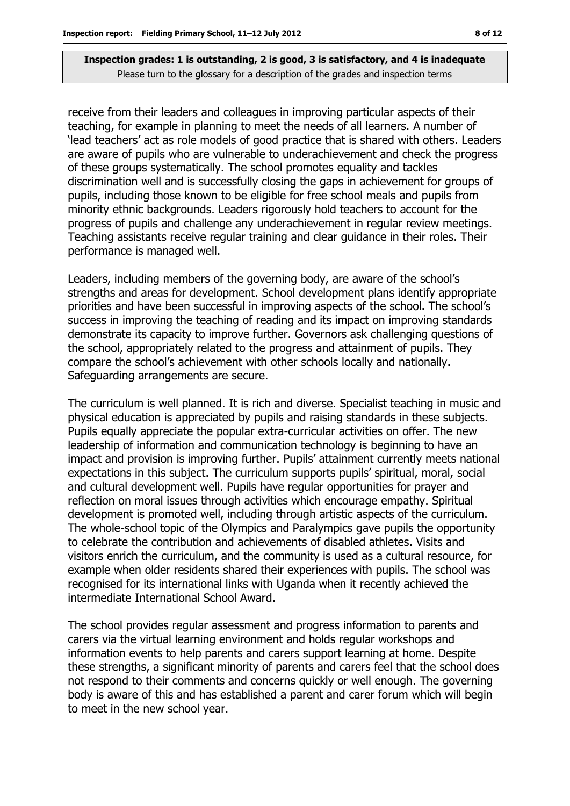receive from their leaders and colleagues in improving particular aspects of their teaching, for example in planning to meet the needs of all learners. A number of 'lead teachers' act as role models of good practice that is shared with others. Leaders are aware of pupils who are vulnerable to underachievement and check the progress of these groups systematically. The school promotes equality and tackles discrimination well and is successfully closing the gaps in achievement for groups of pupils, including those known to be eligible for free school meals and pupils from minority ethnic backgrounds. Leaders rigorously hold teachers to account for the progress of pupils and challenge any underachievement in regular review meetings. Teaching assistants receive regular training and clear guidance in their roles. Their performance is managed well.

Leaders, including members of the governing body, are aware of the school's strengths and areas for development. School development plans identify appropriate priorities and have been successful in improving aspects of the school. The school's success in improving the teaching of reading and its impact on improving standards demonstrate its capacity to improve further. Governors ask challenging questions of the school, appropriately related to the progress and attainment of pupils. They compare the school's achievement with other schools locally and nationally. Safeguarding arrangements are secure.

The curriculum is well planned. It is rich and diverse. Specialist teaching in music and physical education is appreciated by pupils and raising standards in these subjects. Pupils equally appreciate the popular extra-curricular activities on offer. The new leadership of information and communication technology is beginning to have an impact and provision is improving further. Pupils' attainment currently meets national expectations in this subject. The curriculum supports pupils' spiritual, moral, social and cultural development well. Pupils have regular opportunities for prayer and reflection on moral issues through activities which encourage empathy. Spiritual development is promoted well, including through artistic aspects of the curriculum. The whole-school topic of the Olympics and Paralympics gave pupils the opportunity to celebrate the contribution and achievements of disabled athletes. Visits and visitors enrich the curriculum, and the community is used as a cultural resource, for example when older residents shared their experiences with pupils. The school was recognised for its international links with Uganda when it recently achieved the intermediate International School Award.

The school provides regular assessment and progress information to parents and carers via the virtual learning environment and holds regular workshops and information events to help parents and carers support learning at home. Despite these strengths, a significant minority of parents and carers feel that the school does not respond to their comments and concerns quickly or well enough. The governing body is aware of this and has established a parent and carer forum which will begin to meet in the new school year.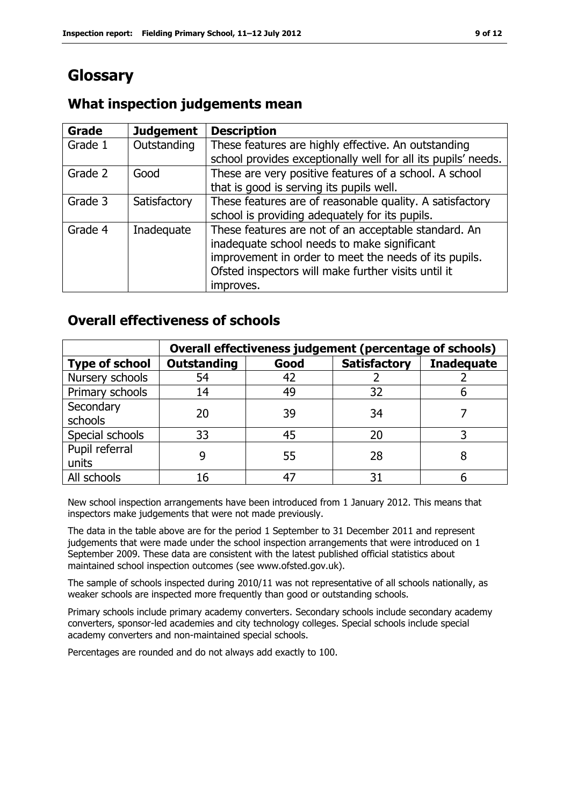### **Glossary**

#### **Grade Judgement Description** Grade  $1$  | Outstanding | These features are highly effective. An outstanding school provides exceptionally well for all its pupils' needs. Grade 2  $\Box$  Good These are very positive features of a school. A school that is good is serving its pupils well. Grade 3  $\parallel$  Satisfactory  $\parallel$  These features are of reasonable quality. A satisfactory school is providing adequately for its pupils. Grade 4 | Inadequate | These features are not of an acceptable standard. An inadequate school needs to make significant improvement in order to meet the needs of its pupils. Ofsted inspectors will make further visits until it improves.

### **What inspection judgements mean**

### **Overall effectiveness of schools**

|                         | Overall effectiveness judgement (percentage of schools) |      |                     |                   |
|-------------------------|---------------------------------------------------------|------|---------------------|-------------------|
| <b>Type of school</b>   | <b>Outstanding</b>                                      | Good | <b>Satisfactory</b> | <b>Inadequate</b> |
| Nursery schools         | 54                                                      | 42   |                     |                   |
| Primary schools         | 14                                                      | 49   | 32                  |                   |
| Secondary<br>schools    | 20                                                      | 39   | 34                  |                   |
| Special schools         | 33                                                      | 45   | 20                  |                   |
| Pupil referral<br>units | 9                                                       | 55   | 28                  |                   |
| All schools             | 16                                                      | 47   | 31                  |                   |

New school inspection arrangements have been introduced from 1 January 2012. This means that inspectors make judgements that were not made previously.

The data in the table above are for the period 1 September to 31 December 2011 and represent judgements that were made under the school inspection arrangements that were introduced on 1 September 2009. These data are consistent with the latest published official statistics about maintained school inspection outcomes (see www.ofsted.gov.uk).

The sample of schools inspected during 2010/11 was not representative of all schools nationally, as weaker schools are inspected more frequently than good or outstanding schools.

Primary schools include primary academy converters. Secondary schools include secondary academy converters, sponsor-led academies and city technology colleges. Special schools include special academy converters and non-maintained special schools.

Percentages are rounded and do not always add exactly to 100.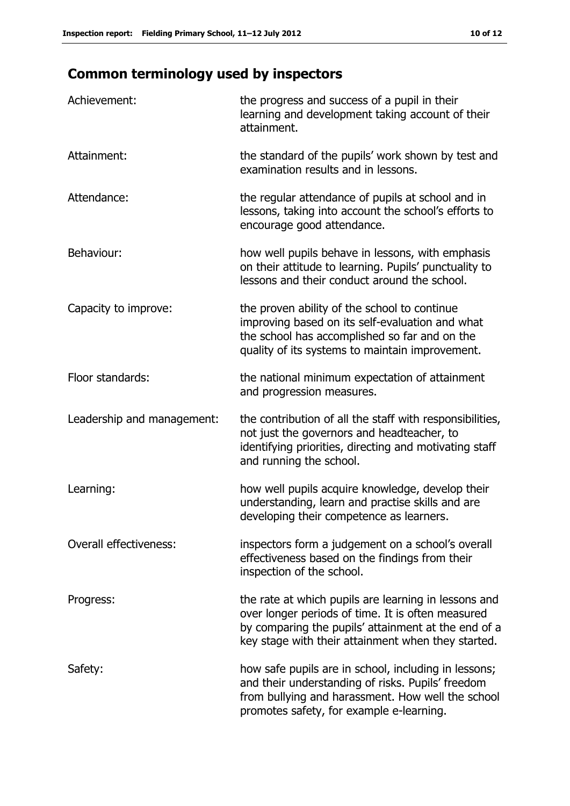## **Common terminology used by inspectors**

| Achievement:                  | the progress and success of a pupil in their<br>learning and development taking account of their<br>attainment.                                                                                                        |
|-------------------------------|------------------------------------------------------------------------------------------------------------------------------------------------------------------------------------------------------------------------|
| Attainment:                   | the standard of the pupils' work shown by test and<br>examination results and in lessons.                                                                                                                              |
| Attendance:                   | the regular attendance of pupils at school and in<br>lessons, taking into account the school's efforts to<br>encourage good attendance.                                                                                |
| Behaviour:                    | how well pupils behave in lessons, with emphasis<br>on their attitude to learning. Pupils' punctuality to<br>lessons and their conduct around the school.                                                              |
| Capacity to improve:          | the proven ability of the school to continue<br>improving based on its self-evaluation and what<br>the school has accomplished so far and on the<br>quality of its systems to maintain improvement.                    |
| Floor standards:              | the national minimum expectation of attainment<br>and progression measures.                                                                                                                                            |
| Leadership and management:    | the contribution of all the staff with responsibilities,<br>not just the governors and headteacher, to<br>identifying priorities, directing and motivating staff<br>and running the school.                            |
| Learning:                     | how well pupils acquire knowledge, develop their<br>understanding, learn and practise skills and are<br>developing their competence as learners.                                                                       |
| <b>Overall effectiveness:</b> | inspectors form a judgement on a school's overall<br>effectiveness based on the findings from their<br>inspection of the school.                                                                                       |
| Progress:                     | the rate at which pupils are learning in lessons and<br>over longer periods of time. It is often measured<br>by comparing the pupils' attainment at the end of a<br>key stage with their attainment when they started. |
| Safety:                       | how safe pupils are in school, including in lessons;<br>and their understanding of risks. Pupils' freedom<br>from bullying and harassment. How well the school<br>promotes safety, for example e-learning.             |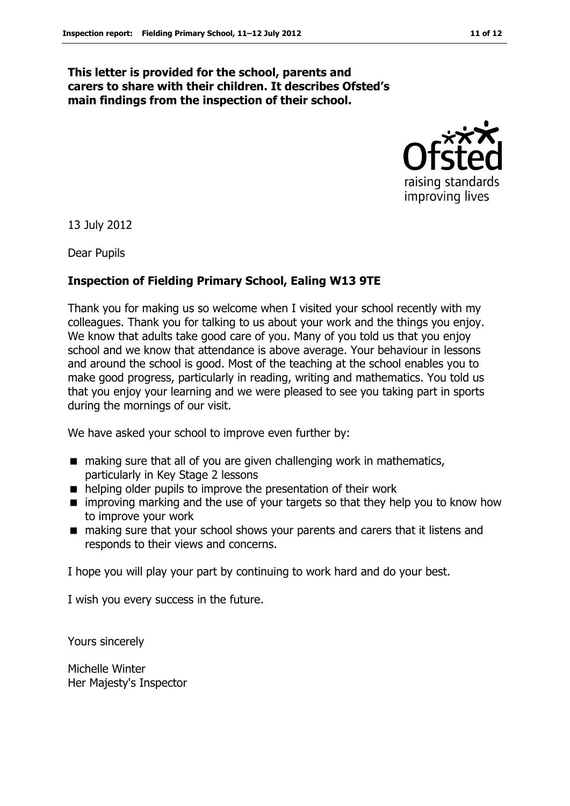#### **This letter is provided for the school, parents and carers to share with their children. It describes Ofsted's main findings from the inspection of their school.**



13 July 2012

Dear Pupils

### **Inspection of Fielding Primary School, Ealing W13 9TE**

Thank you for making us so welcome when I visited your school recently with my colleagues. Thank you for talking to us about your work and the things you enjoy. We know that adults take good care of you. Many of you told us that you enjoy school and we know that attendance is above average. Your behaviour in lessons and around the school is good. Most of the teaching at the school enables you to make good progress, particularly in reading, writing and mathematics. You told us that you enjoy your learning and we were pleased to see you taking part in sports during the mornings of our visit.

We have asked your school to improve even further by:

- making sure that all of you are given challenging work in mathematics, particularly in Key Stage 2 lessons
- helping older pupils to improve the presentation of their work
- $\blacksquare$  improving marking and the use of your targets so that they help you to know how to improve your work
- making sure that your school shows your parents and carers that it listens and responds to their views and concerns.

I hope you will play your part by continuing to work hard and do your best.

I wish you every success in the future.

Yours sincerely

Michelle Winter Her Majesty's Inspector